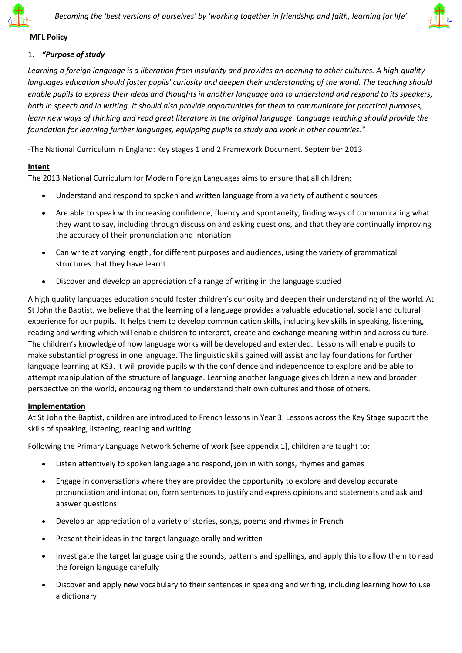



### **MFL Policy**

### 1. *"Purpose of study*

*Learning a foreign language is a liberation from insularity and provides an opening to other cultures. A high-quality languages education should foster pupils' curiosity and deepen their understanding of the world. The teaching should enable pupils to express their ideas and thoughts in another language and to understand and respond to its speakers, both in speech and in writing. It should also provide opportunities for them to communicate for practical purposes, learn new ways of thinking and read great literature in the original language. Language teaching should provide the foundation for learning further languages, equipping pupils to study and work in other countries."* 

-The National Curriculum in England: Key stages 1 and 2 Framework Document. September 2013

### **Intent**

The 2013 National Curriculum for Modern Foreign Languages aims to ensure that all children:

- Understand and respond to spoken and written language from a variety of authentic sources
- Are able to speak with increasing confidence, fluency and spontaneity, finding ways of communicating what they want to say, including through discussion and asking questions, and that they are continually improving the accuracy of their pronunciation and intonation
- Can write at varying length, for different purposes and audiences, using the variety of grammatical structures that they have learnt
- Discover and develop an appreciation of a range of writing in the language studied

A high quality languages education should foster children's curiosity and deepen their understanding of the world. At St John the Baptist, we believe that the learning of a language provides a valuable educational, social and cultural experience for our pupils. It helps them to develop communication skills, including key skills in speaking, listening, reading and writing which will enable children to interpret, create and exchange meaning within and across culture. The children's knowledge of how language works will be developed and extended. Lessons will enable pupils to make substantial progress in one language. The linguistic skills gained will assist and lay foundations for further language learning at KS3. It will provide pupils with the confidence and independence to explore and be able to attempt manipulation of the structure of language. Learning another language gives children a new and broader perspective on the world, encouraging them to understand their own cultures and those of others.

### **Implementation**

At St John the Baptist, children are introduced to French lessons in Year 3. Lessons across the Key Stage support the skills of speaking, listening, reading and writing:

Following the Primary Language Network Scheme of work [see appendix 1], children are taught to:

- Listen attentively to spoken language and respond, join in with songs, rhymes and games
- Engage in conversations where they are provided the opportunity to explore and develop accurate pronunciation and intonation, form sentences to justify and express opinions and statements and ask and answer questions
- Develop an appreciation of a variety of stories, songs, poems and rhymes in French
- Present their ideas in the target language orally and written
- Investigate the target language using the sounds, patterns and spellings, and apply this to allow them to read the foreign language carefully
- Discover and apply new vocabulary to their sentences in speaking and writing, including learning how to use a dictionary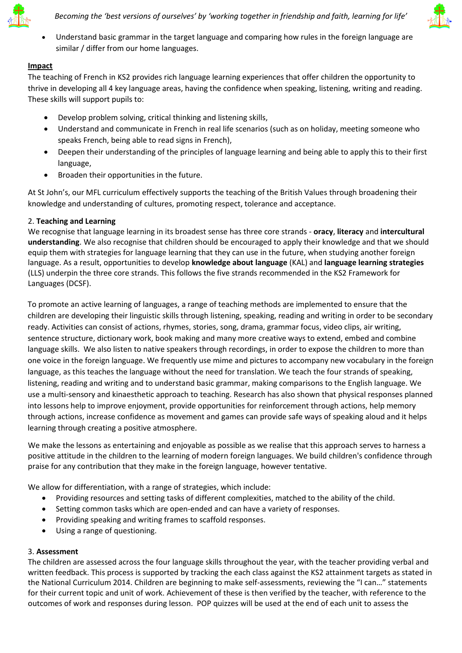



 Understand basic grammar in the target language and comparing how rules in the foreign language are similar / differ from our home languages.

# **Impact**

The teaching of French in KS2 provides rich language learning experiences that offer children the opportunity to thrive in developing all 4 key language areas, having the confidence when speaking, listening, writing and reading. These skills will support pupils to:

- Develop problem solving, critical thinking and listening skills,
- Understand and communicate in French in real life scenarios (such as on holiday, meeting someone who speaks French, being able to read signs in French),
- Deepen their understanding of the principles of language learning and being able to apply this to their first language,
- Broaden their opportunities in the future.

At St John's, our MFL curriculum effectively supports the teaching of the British Values through broadening their knowledge and understanding of cultures, promoting respect, tolerance and acceptance.

# 2. **Teaching and Learning**

We recognise that language learning in its broadest sense has three core strands - **oracy**, **literacy** and **intercultural understanding**. We also recognise that children should be encouraged to apply their knowledge and that we should equip them with strategies for language learning that they can use in the future, when studying another foreign language. As a result, opportunities to develop **knowledge about language** (KAL) and **language learning strategies**  (LLS) underpin the three core strands. This follows the five strands recommended in the KS2 Framework for Languages (DCSF).

To promote an active learning of languages, a range of teaching methods are implemented to ensure that the children are developing their linguistic skills through listening, speaking, reading and writing in order to be secondary ready. Activities can consist of actions, rhymes, stories, song, drama, grammar focus, video clips, air writing, sentence structure, dictionary work, book making and many more creative ways to extend, embed and combine language skills. We also listen to native speakers through recordings, in order to expose the children to more than one voice in the foreign language. We frequently use mime and pictures to accompany new vocabulary in the foreign language, as this teaches the language without the need for translation. We teach the four strands of speaking, listening, reading and writing and to understand basic grammar, making comparisons to the English language. We use a multi-sensory and kinaesthetic approach to teaching. Research has also shown that physical responses planned into lessons help to improve enjoyment, provide opportunities for reinforcement through actions, help memory through actions, increase confidence as movement and games can provide safe ways of speaking aloud and it helps learning through creating a positive atmosphere.

We make the lessons as entertaining and enjoyable as possible as we realise that this approach serves to harness a positive attitude in the children to the learning of modern foreign languages. We build children's confidence through praise for any contribution that they make in the foreign language, however tentative.

We allow for differentiation, with a range of strategies, which include:

- Providing resources and setting tasks of different complexities, matched to the ability of the child.
- Setting common tasks which are open-ended and can have a variety of responses.
- Providing speaking and writing frames to scaffold responses.
- Using a range of questioning.

### 3. **Assessment**

The children are assessed across the four language skills throughout the year, with the teacher providing verbal and written feedback. This process is supported by tracking the each class against the KS2 attainment targets as stated in the National Curriculum 2014. Children are beginning to make self-assessments, reviewing the "I can…" statements for their current topic and unit of work. Achievement of these is then verified by the teacher, with reference to the outcomes of work and responses during lesson. POP quizzes will be used at the end of each unit to assess the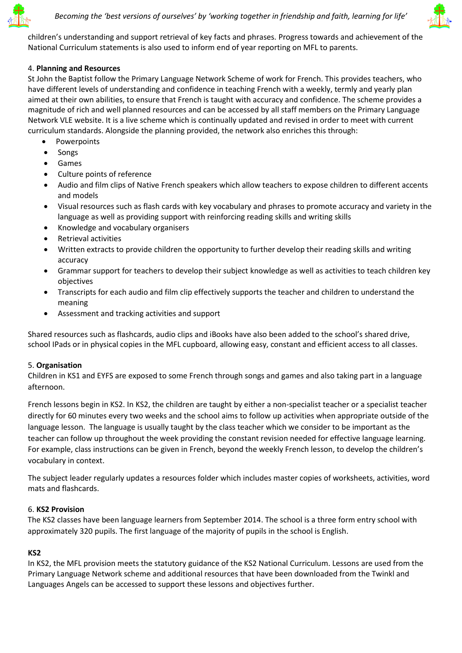



children's understanding and support retrieval of key facts and phrases. Progress towards and achievement of the National Curriculum statements is also used to inform end of year reporting on MFL to parents.

# 4. **Planning and Resources**

St John the Baptist follow the Primary Language Network Scheme of work for French. This provides teachers, who have different levels of understanding and confidence in teaching French with a weekly, termly and yearly plan aimed at their own abilities, to ensure that French is taught with accuracy and confidence. The scheme provides a magnitude of rich and well planned resources and can be accessed by all staff members on the Primary Language Network VLE website. It is a live scheme which is continually updated and revised in order to meet with current curriculum standards. Alongside the planning provided, the network also enriches this through:

- Powerpoints
- Songs
- Games
- Culture points of reference
- Audio and film clips of Native French speakers which allow teachers to expose children to different accents and models
- Visual resources such as flash cards with key vocabulary and phrases to promote accuracy and variety in the language as well as providing support with reinforcing reading skills and writing skills
- Knowledge and vocabulary organisers
- Retrieval activities
- Written extracts to provide children the opportunity to further develop their reading skills and writing accuracy
- Grammar support for teachers to develop their subject knowledge as well as activities to teach children key objectives
- Transcripts for each audio and film clip effectively supports the teacher and children to understand the meaning
- Assessment and tracking activities and support

Shared resources such as flashcards, audio clips and iBooks have also been added to the school's shared drive, school IPads or in physical copies in the MFL cupboard, allowing easy, constant and efficient access to all classes.

### 5. **Organisation**

Children in KS1 and EYFS are exposed to some French through songs and games and also taking part in a language afternoon.

French lessons begin in KS2. In KS2, the children are taught by either a non-specialist teacher or a specialist teacher directly for 60 minutes every two weeks and the school aims to follow up activities when appropriate outside of the language lesson. The language is usually taught by the class teacher which we consider to be important as the teacher can follow up throughout the week providing the constant revision needed for effective language learning. For example, class instructions can be given in French, beyond the weekly French lesson, to develop the children's vocabulary in context.

The subject leader regularly updates a resources folder which includes master copies of worksheets, activities, word mats and flashcards.

### 6. **KS2 Provision**

The KS2 classes have been language learners from September 2014. The school is a three form entry school with approximately 320 pupils. The first language of the majority of pupils in the school is English.

### **KS2**

In KS2, the MFL provision meets the statutory guidance of the KS2 National Curriculum. Lessons are used from the Primary Language Network scheme and additional resources that have been downloaded from the Twinkl and Languages Angels can be accessed to support these lessons and objectives further.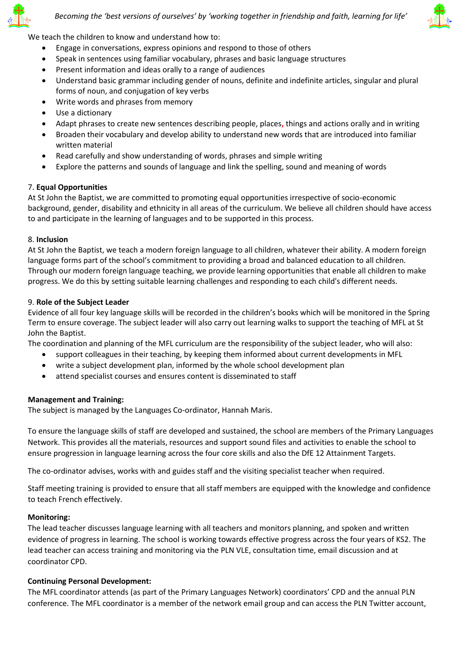



We teach the children to know and understand how to:

- Engage in conversations, express opinions and respond to those of others
- Speak in sentences using familiar vocabulary, phrases and basic language structures
- Present information and ideas orally to a range of audiences
- Understand basic grammar including gender of nouns, definite and indefinite articles, singular and plural forms of noun, and conjugation of key verbs
- Write words and phrases from memory
- Use a dictionary
- Adapt phrases to create new sentences describing people, places**,** things and actions orally and in writing
- Broaden their vocabulary and develop ability to understand new words that are introduced into familiar written material
- Read carefully and show understanding of words, phrases and simple writing
- Explore the patterns and sounds of language and link the spelling, sound and meaning of words

# 7. **Equal Opportunities**

At St John the Baptist, we are committed to promoting equal opportunities irrespective of socio-economic background, gender, disability and ethnicity in all areas of the curriculum. We believe all children should have access to and participate in the learning of languages and to be supported in this process.

# 8. **Inclusion**

At St John the Baptist, we teach a modern foreign language to all children, whatever their ability. A modern foreign language forms part of the school's commitment to providing a broad and balanced education to all children. Through our modern foreign language teaching, we provide learning opportunities that enable all children to make progress. We do this by setting suitable learning challenges and responding to each child's different needs.

# 9. **Role of the Subject Leader**

Evidence of all four key language skills will be recorded in the children's books which will be monitored in the Spring Term to ensure coverage. The subject leader will also carry out learning walks to support the teaching of MFL at St John the Baptist.

The coordination and planning of the MFL curriculum are the responsibility of the subject leader, who will also:

- support colleagues in their teaching, by keeping them informed about current developments in MFL
- write a subject development plan, informed by the whole school development plan
- attend specialist courses and ensures content is disseminated to staff

# **Management and Training:**

The subject is managed by the Languages Co-ordinator, Hannah Maris.

To ensure the language skills of staff are developed and sustained, the school are members of the Primary Languages Network. This provides all the materials, resources and support sound files and activities to enable the school to ensure progression in language learning across the four core skills and also the DfE 12 Attainment Targets.

The co-ordinator advises, works with and guides staff and the visiting specialist teacher when required.

Staff meeting training is provided to ensure that all staff members are equipped with the knowledge and confidence to teach French effectively.

# **Monitoring:**

The lead teacher discusses language learning with all teachers and monitors planning, and spoken and written evidence of progress in learning. The school is working towards effective progress across the four years of KS2. The lead teacher can access training and monitoring via the PLN VLE, consultation time, email discussion and at coordinator CPD.

# **Continuing Personal Development:**

The MFL coordinator attends (as part of the Primary Languages Network) coordinators' CPD and the annual PLN conference. The MFL coordinator is a member of the network email group and can access the PLN Twitter account,